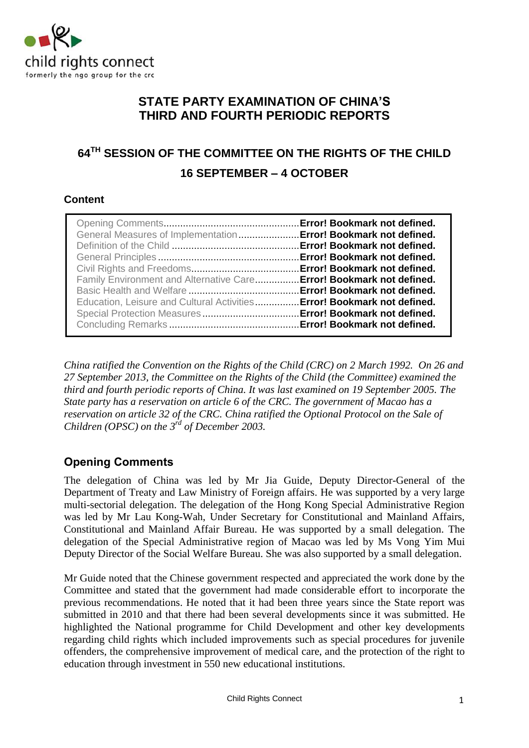

## **STATE PARTY EXAMINATION OF CHINA'S THIRD AND FOURTH PERIODIC REPORTS**

# **64TH SESSION OF THE COMMITTEE ON THE RIGHTS OF THE CHILD 16 SEPTEMBER – 4 OCTOBER**

## **Content**

| General Measures of Implementation  Error! Bookmark not defined.<br>Family Environment and Alternative Care Error! Bookmark not defined.<br>Education, Leisure and Cultural Activities Error! Bookmark not defined. |  |
|---------------------------------------------------------------------------------------------------------------------------------------------------------------------------------------------------------------------|--|
|                                                                                                                                                                                                                     |  |

*China ratified the Convention on the Rights of the Child (CRC) on 2 March 1992. On 26 and 27 September 2013, the Committee on the Rights of the Child (the Committee) examined the third and fourth periodic reports of China. It was last examined on 19 September 2005. The State party has a reservation on article 6 of the CRC. The government of Macao has a reservation on article 32 of the CRC. China ratified the Optional Protocol on the Sale of Children (OPSC) on the 3rd of December 2003.* 

## **Opening Comments**

The delegation of China was led by Mr Jia Guide, Deputy Director-General of the Department of Treaty and Law Ministry of Foreign affairs. He was supported by a very large multi-sectorial delegation. The delegation of the Hong Kong Special Administrative Region was led by Mr Lau Kong-Wah, Under Secretary for Constitutional and Mainland Affairs, Constitutional and Mainland Affair Bureau. He was supported by a small delegation. The delegation of the Special Administrative region of Macao was led by Ms Vong Yim Mui Deputy Director of the Social Welfare Bureau. She was also supported by a small delegation.

Mr Guide noted that the Chinese government respected and appreciated the work done by the Committee and stated that the government had made considerable effort to incorporate the previous recommendations. He noted that it had been three years since the State report was submitted in 2010 and that there had been several developments since it was submitted. He highlighted the National programme for Child Development and other key developments regarding child rights which included improvements such as special procedures for juvenile offenders, the comprehensive improvement of medical care, and the protection of the right to education through investment in 550 new educational institutions.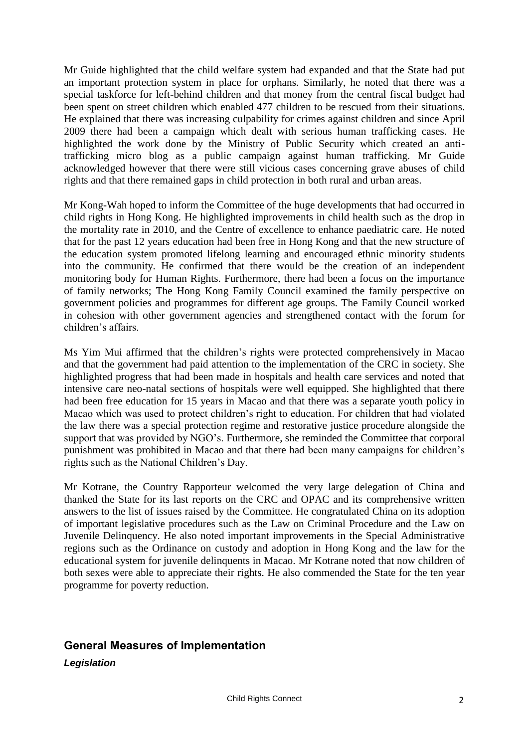Mr Guide highlighted that the child welfare system had expanded and that the State had put an important protection system in place for orphans. Similarly, he noted that there was a special taskforce for left-behind children and that money from the central fiscal budget had been spent on street children which enabled 477 children to be rescued from their situations. He explained that there was increasing culpability for crimes against children and since April 2009 there had been a campaign which dealt with serious human trafficking cases. He highlighted the work done by the Ministry of Public Security which created an antitrafficking micro blog as a public campaign against human trafficking. Mr Guide acknowledged however that there were still vicious cases concerning grave abuses of child rights and that there remained gaps in child protection in both rural and urban areas.

Mr Kong-Wah hoped to inform the Committee of the huge developments that had occurred in child rights in Hong Kong. He highlighted improvements in child health such as the drop in the mortality rate in 2010, and the Centre of excellence to enhance paediatric care. He noted that for the past 12 years education had been free in Hong Kong and that the new structure of the education system promoted lifelong learning and encouraged ethnic minority students into the community. He confirmed that there would be the creation of an independent monitoring body for Human Rights. Furthermore, there had been a focus on the importance of family networks; The Hong Kong Family Council examined the family perspective on government policies and programmes for different age groups. The Family Council worked in cohesion with other government agencies and strengthened contact with the forum for children's affairs.

Ms Yim Mui affirmed that the children's rights were protected comprehensively in Macao and that the government had paid attention to the implementation of the CRC in society. She highlighted progress that had been made in hospitals and health care services and noted that intensive care neo-natal sections of hospitals were well equipped. She highlighted that there had been free education for 15 years in Macao and that there was a separate youth policy in Macao which was used to protect children's right to education. For children that had violated the law there was a special protection regime and restorative justice procedure alongside the support that was provided by NGO's. Furthermore, she reminded the Committee that corporal punishment was prohibited in Macao and that there had been many campaigns for children's rights such as the National Children's Day.

Mr Kotrane, the Country Rapporteur welcomed the very large delegation of China and thanked the State for its last reports on the CRC and OPAC and its comprehensive written answers to the list of issues raised by the Committee. He congratulated China on its adoption of important legislative procedures such as the Law on Criminal Procedure and the Law on Juvenile Delinquency. He also noted important improvements in the Special Administrative regions such as the Ordinance on custody and adoption in Hong Kong and the law for the educational system for juvenile delinquents in Macao. Mr Kotrane noted that now children of both sexes were able to appreciate their rights. He also commended the State for the ten year programme for poverty reduction.

## **General Measures of Implementation**

*Legislation*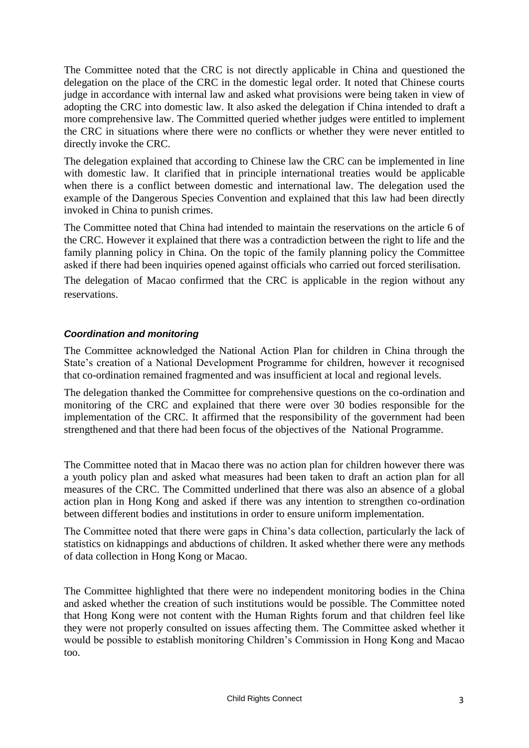The Committee noted that the CRC is not directly applicable in China and questioned the delegation on the place of the CRC in the domestic legal order. It noted that Chinese courts judge in accordance with internal law and asked what provisions were being taken in view of adopting the CRC into domestic law. It also asked the delegation if China intended to draft a more comprehensive law. The Committed queried whether judges were entitled to implement the CRC in situations where there were no conflicts or whether they were never entitled to directly invoke the CRC.

The delegation explained that according to Chinese law the CRC can be implemented in line with domestic law. It clarified that in principle international treaties would be applicable when there is a conflict between domestic and international law. The delegation used the example of the Dangerous Species Convention and explained that this law had been directly invoked in China to punish crimes.

The Committee noted that China had intended to maintain the reservations on the article 6 of the CRC. However it explained that there was a contradiction between the right to life and the family planning policy in China. On the topic of the family planning policy the Committee asked if there had been inquiries opened against officials who carried out forced sterilisation.

The delegation of Macao confirmed that the CRC is applicable in the region without any reservations.

## *Coordination and monitoring*

The Committee acknowledged the National Action Plan for children in China through the State's creation of a National Development Programme for children, however it recognised that co-ordination remained fragmented and was insufficient at local and regional levels.

The delegation thanked the Committee for comprehensive questions on the co-ordination and monitoring of the CRC and explained that there were over 30 bodies responsible for the implementation of the CRC. It affirmed that the responsibility of the government had been strengthened and that there had been focus of the objectives of the National Programme.

The Committee noted that in Macao there was no action plan for children however there was a youth policy plan and asked what measures had been taken to draft an action plan for all measures of the CRC. The Committed underlined that there was also an absence of a global action plan in Hong Kong and asked if there was any intention to strengthen co-ordination between different bodies and institutions in order to ensure uniform implementation.

The Committee noted that there were gaps in China's data collection, particularly the lack of statistics on kidnappings and abductions of children. It asked whether there were any methods of data collection in Hong Kong or Macao.

The Committee highlighted that there were no independent monitoring bodies in the China and asked whether the creation of such institutions would be possible. The Committee noted that Hong Kong were not content with the Human Rights forum and that children feel like they were not properly consulted on issues affecting them. The Committee asked whether it would be possible to establish monitoring Children's Commission in Hong Kong and Macao too.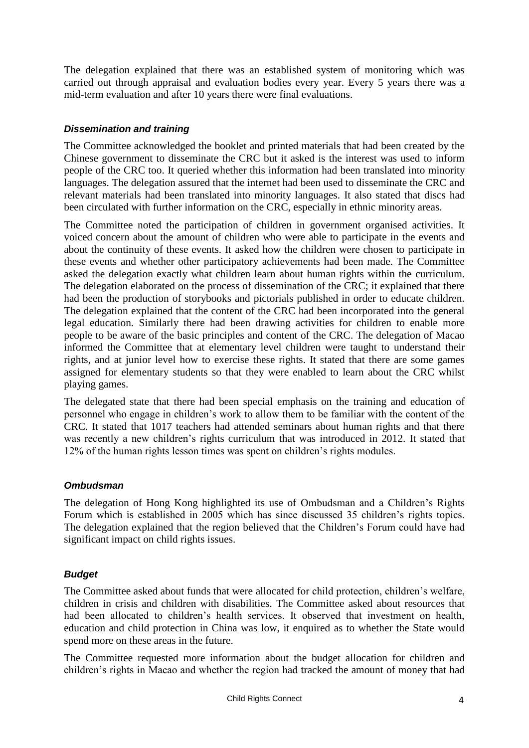The delegation explained that there was an established system of monitoring which was carried out through appraisal and evaluation bodies every year. Every 5 years there was a mid-term evaluation and after 10 years there were final evaluations.

## *Dissemination and training*

The Committee acknowledged the booklet and printed materials that had been created by the Chinese government to disseminate the CRC but it asked is the interest was used to inform people of the CRC too. It queried whether this information had been translated into minority languages. The delegation assured that the internet had been used to disseminate the CRC and relevant materials had been translated into minority languages. It also stated that discs had been circulated with further information on the CRC, especially in ethnic minority areas.

The Committee noted the participation of children in government organised activities. It voiced concern about the amount of children who were able to participate in the events and about the continuity of these events. It asked how the children were chosen to participate in these events and whether other participatory achievements had been made. The Committee asked the delegation exactly what children learn about human rights within the curriculum. The delegation elaborated on the process of dissemination of the CRC; it explained that there had been the production of storybooks and pictorials published in order to educate children. The delegation explained that the content of the CRC had been incorporated into the general legal education. Similarly there had been drawing activities for children to enable more people to be aware of the basic principles and content of the CRC. The delegation of Macao informed the Committee that at elementary level children were taught to understand their rights, and at junior level how to exercise these rights. It stated that there are some games assigned for elementary students so that they were enabled to learn about the CRC whilst playing games.

The delegated state that there had been special emphasis on the training and education of personnel who engage in children's work to allow them to be familiar with the content of the CRC. It stated that 1017 teachers had attended seminars about human rights and that there was recently a new children's rights curriculum that was introduced in 2012. It stated that 12% of the human rights lesson times was spent on children's rights modules.

## *Ombudsman*

The delegation of Hong Kong highlighted its use of Ombudsman and a Children's Rights Forum which is established in 2005 which has since discussed 35 children's rights topics. The delegation explained that the region believed that the Children's Forum could have had significant impact on child rights issues.

#### *Budget*

The Committee asked about funds that were allocated for child protection, children's welfare, children in crisis and children with disabilities. The Committee asked about resources that had been allocated to children's health services. It observed that investment on health, education and child protection in China was low, it enquired as to whether the State would spend more on these areas in the future.

The Committee requested more information about the budget allocation for children and children's rights in Macao and whether the region had tracked the amount of money that had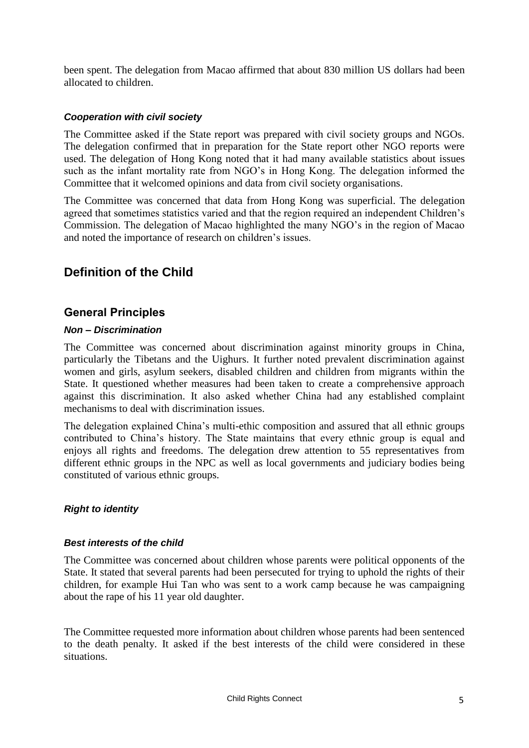been spent. The delegation from Macao affirmed that about 830 million US dollars had been allocated to children.

### *Cooperation with civil society*

The Committee asked if the State report was prepared with civil society groups and NGOs. The delegation confirmed that in preparation for the State report other NGO reports were used. The delegation of Hong Kong noted that it had many available statistics about issues such as the infant mortality rate from NGO's in Hong Kong. The delegation informed the Committee that it welcomed opinions and data from civil society organisations.

The Committee was concerned that data from Hong Kong was superficial. The delegation agreed that sometimes statistics varied and that the region required an independent Children's Commission. The delegation of Macao highlighted the many NGO's in the region of Macao and noted the importance of research on children's issues.

## **Definition of the Child**

## **General Principles**

#### *Non – Discrimination*

The Committee was concerned about discrimination against minority groups in China, particularly the Tibetans and the Uighurs. It further noted prevalent discrimination against women and girls, asylum seekers, disabled children and children from migrants within the State. It questioned whether measures had been taken to create a comprehensive approach against this discrimination. It also asked whether China had any established complaint mechanisms to deal with discrimination issues.

The delegation explained China's multi-ethic composition and assured that all ethnic groups contributed to China's history. The State maintains that every ethnic group is equal and enjoys all rights and freedoms. The delegation drew attention to 55 representatives from different ethnic groups in the NPC as well as local governments and judiciary bodies being constituted of various ethnic groups.

#### *Right to identity*

#### *Best interests of the child*

The Committee was concerned about children whose parents were political opponents of the State. It stated that several parents had been persecuted for trying to uphold the rights of their children, for example Hui Tan who was sent to a work camp because he was campaigning about the rape of his 11 year old daughter.

The Committee requested more information about children whose parents had been sentenced to the death penalty. It asked if the best interests of the child were considered in these situations.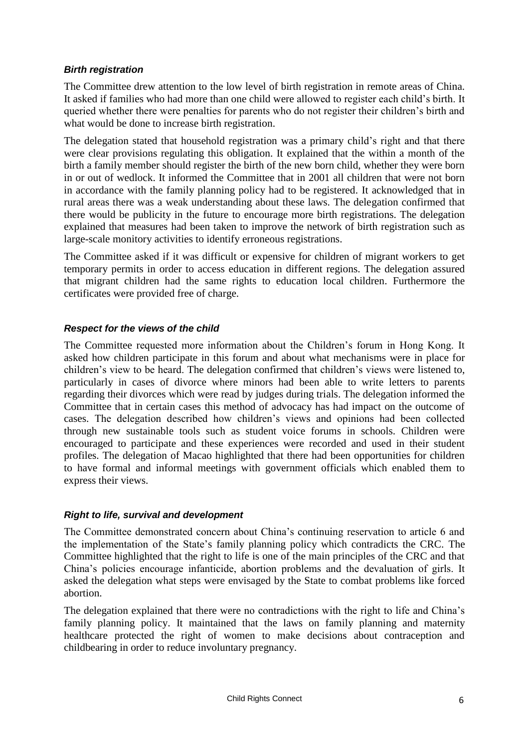#### *Birth registration*

The Committee drew attention to the low level of birth registration in remote areas of China. It asked if families who had more than one child were allowed to register each child's birth. It queried whether there were penalties for parents who do not register their children's birth and what would be done to increase birth registration.

The delegation stated that household registration was a primary child's right and that there were clear provisions regulating this obligation. It explained that the within a month of the birth a family member should register the birth of the new born child, whether they were born in or out of wedlock. It informed the Committee that in 2001 all children that were not born in accordance with the family planning policy had to be registered. It acknowledged that in rural areas there was a weak understanding about these laws. The delegation confirmed that there would be publicity in the future to encourage more birth registrations. The delegation explained that measures had been taken to improve the network of birth registration such as large-scale monitory activities to identify erroneous registrations.

The Committee asked if it was difficult or expensive for children of migrant workers to get temporary permits in order to access education in different regions. The delegation assured that migrant children had the same rights to education local children. Furthermore the certificates were provided free of charge.

#### *Respect for the views of the child*

The Committee requested more information about the Children's forum in Hong Kong. It asked how children participate in this forum and about what mechanisms were in place for children's view to be heard. The delegation confirmed that children's views were listened to, particularly in cases of divorce where minors had been able to write letters to parents regarding their divorces which were read by judges during trials. The delegation informed the Committee that in certain cases this method of advocacy has had impact on the outcome of cases. The delegation described how children's views and opinions had been collected through new sustainable tools such as student voice forums in schools. Children were encouraged to participate and these experiences were recorded and used in their student profiles. The delegation of Macao highlighted that there had been opportunities for children to have formal and informal meetings with government officials which enabled them to express their views.

#### *Right to life, survival and development*

The Committee demonstrated concern about China's continuing reservation to article 6 and the implementation of the State's family planning policy which contradicts the CRC. The Committee highlighted that the right to life is one of the main principles of the CRC and that China's policies encourage infanticide, abortion problems and the devaluation of girls. It asked the delegation what steps were envisaged by the State to combat problems like forced abortion.

The delegation explained that there were no contradictions with the right to life and China's family planning policy. It maintained that the laws on family planning and maternity healthcare protected the right of women to make decisions about contraception and childbearing in order to reduce involuntary pregnancy.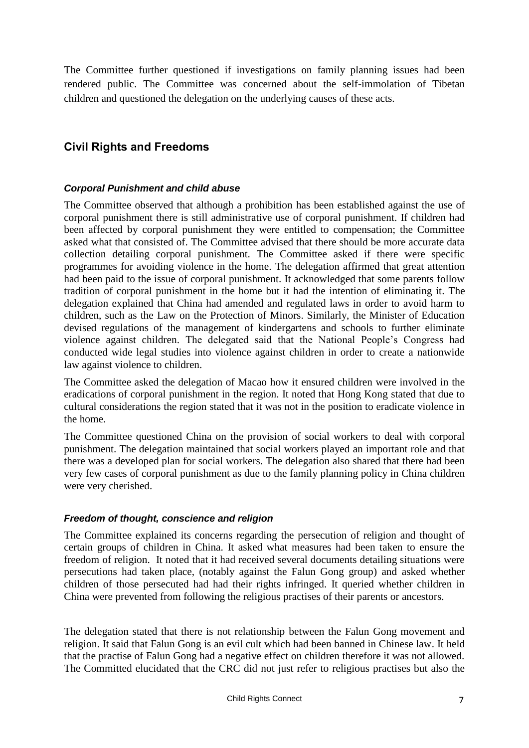The Committee further questioned if investigations on family planning issues had been rendered public. The Committee was concerned about the self-immolation of Tibetan children and questioned the delegation on the underlying causes of these acts.

## **Civil Rights and Freedoms**

## *Corporal Punishment and child abuse*

The Committee observed that although a prohibition has been established against the use of corporal punishment there is still administrative use of corporal punishment. If children had been affected by corporal punishment they were entitled to compensation; the Committee asked what that consisted of. The Committee advised that there should be more accurate data collection detailing corporal punishment. The Committee asked if there were specific programmes for avoiding violence in the home. The delegation affirmed that great attention had been paid to the issue of corporal punishment. It acknowledged that some parents follow tradition of corporal punishment in the home but it had the intention of eliminating it. The delegation explained that China had amended and regulated laws in order to avoid harm to children, such as the Law on the Protection of Minors. Similarly, the Minister of Education devised regulations of the management of kindergartens and schools to further eliminate violence against children. The delegated said that the National People's Congress had conducted wide legal studies into violence against children in order to create a nationwide law against violence to children.

The Committee asked the delegation of Macao how it ensured children were involved in the eradications of corporal punishment in the region. It noted that Hong Kong stated that due to cultural considerations the region stated that it was not in the position to eradicate violence in the home.

The Committee questioned China on the provision of social workers to deal with corporal punishment. The delegation maintained that social workers played an important role and that there was a developed plan for social workers. The delegation also shared that there had been very few cases of corporal punishment as due to the family planning policy in China children were very cherished.

## *Freedom of thought, conscience and religion*

The Committee explained its concerns regarding the persecution of religion and thought of certain groups of children in China. It asked what measures had been taken to ensure the freedom of religion. It noted that it had received several documents detailing situations were persecutions had taken place, (notably against the Falun Gong group) and asked whether children of those persecuted had had their rights infringed. It queried whether children in China were prevented from following the religious practises of their parents or ancestors.

The delegation stated that there is not relationship between the Falun Gong movement and religion. It said that Falun Gong is an evil cult which had been banned in Chinese law. It held that the practise of Falun Gong had a negative effect on children therefore it was not allowed. The Committed elucidated that the CRC did not just refer to religious practises but also the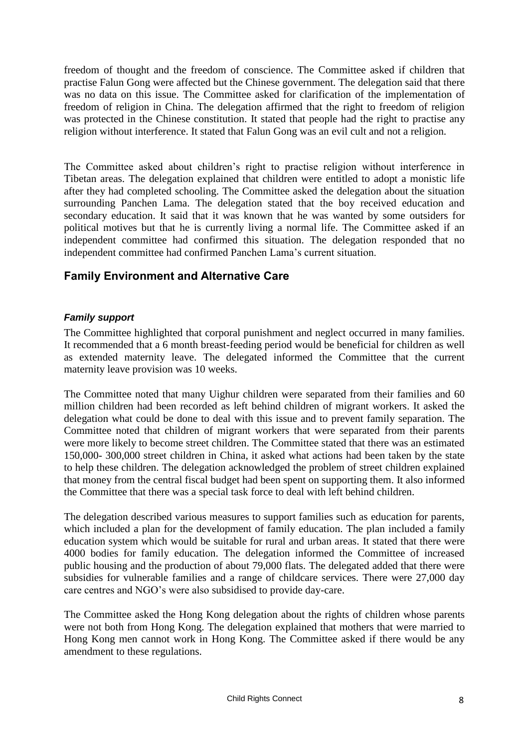freedom of thought and the freedom of conscience. The Committee asked if children that practise Falun Gong were affected but the Chinese government. The delegation said that there was no data on this issue. The Committee asked for clarification of the implementation of freedom of religion in China. The delegation affirmed that the right to freedom of religion was protected in the Chinese constitution. It stated that people had the right to practise any religion without interference. It stated that Falun Gong was an evil cult and not a religion.

The Committee asked about children's right to practise religion without interference in Tibetan areas. The delegation explained that children were entitled to adopt a monistic life after they had completed schooling. The Committee asked the delegation about the situation surrounding Panchen Lama. The delegation stated that the boy received education and secondary education. It said that it was known that he was wanted by some outsiders for political motives but that he is currently living a normal life. The Committee asked if an independent committee had confirmed this situation. The delegation responded that no independent committee had confirmed Panchen Lama's current situation.

## **Family Environment and Alternative Care**

## *Family support*

The Committee highlighted that corporal punishment and neglect occurred in many families. It recommended that a 6 month breast-feeding period would be beneficial for children as well as extended maternity leave. The delegated informed the Committee that the current maternity leave provision was 10 weeks.

The Committee noted that many Uighur children were separated from their families and 60 million children had been recorded as left behind children of migrant workers. It asked the delegation what could be done to deal with this issue and to prevent family separation. The Committee noted that children of migrant workers that were separated from their parents were more likely to become street children. The Committee stated that there was an estimated 150,000- 300,000 street children in China, it asked what actions had been taken by the state to help these children. The delegation acknowledged the problem of street children explained that money from the central fiscal budget had been spent on supporting them. It also informed the Committee that there was a special task force to deal with left behind children.

The delegation described various measures to support families such as education for parents, which included a plan for the development of family education. The plan included a family education system which would be suitable for rural and urban areas. It stated that there were 4000 bodies for family education. The delegation informed the Committee of increased public housing and the production of about 79,000 flats. The delegated added that there were subsidies for vulnerable families and a range of childcare services. There were 27,000 day care centres and NGO's were also subsidised to provide day-care.

The Committee asked the Hong Kong delegation about the rights of children whose parents were not both from Hong Kong. The delegation explained that mothers that were married to Hong Kong men cannot work in Hong Kong. The Committee asked if there would be any amendment to these regulations.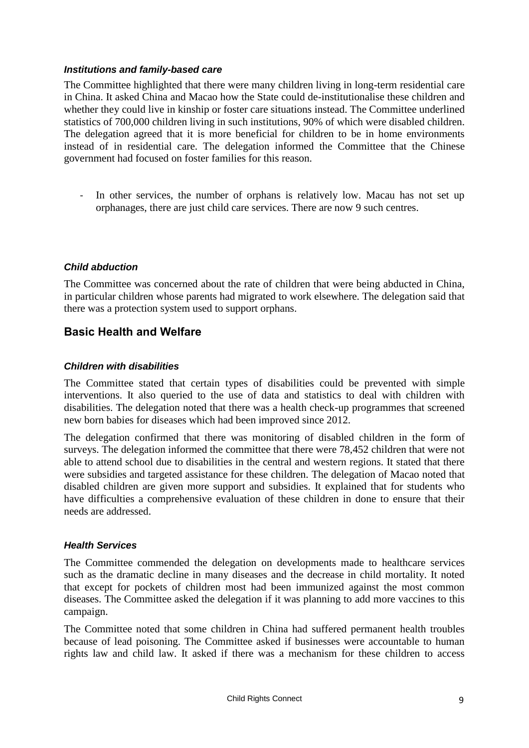#### *Institutions and family-based care*

The Committee highlighted that there were many children living in long-term residential care in China. It asked China and Macao how the State could de-institutionalise these children and whether they could live in kinship or foster care situations instead. The Committee underlined statistics of 700,000 children living in such institutions, 90% of which were disabled children. The delegation agreed that it is more beneficial for children to be in home environments instead of in residential care. The delegation informed the Committee that the Chinese government had focused on foster families for this reason.

- In other services, the number of orphans is relatively low. Macau has not set up orphanages, there are just child care services. There are now 9 such centres.

## *Child abduction*

The Committee was concerned about the rate of children that were being abducted in China, in particular children whose parents had migrated to work elsewhere. The delegation said that there was a protection system used to support orphans.

## **Basic Health and Welfare**

#### *Children with disabilities*

The Committee stated that certain types of disabilities could be prevented with simple interventions. It also queried to the use of data and statistics to deal with children with disabilities. The delegation noted that there was a health check-up programmes that screened new born babies for diseases which had been improved since 2012.

The delegation confirmed that there was monitoring of disabled children in the form of surveys. The delegation informed the committee that there were 78,452 children that were not able to attend school due to disabilities in the central and western regions. It stated that there were subsidies and targeted assistance for these children. The delegation of Macao noted that disabled children are given more support and subsidies. It explained that for students who have difficulties a comprehensive evaluation of these children in done to ensure that their needs are addressed.

#### *Health Services*

The Committee commended the delegation on developments made to healthcare services such as the dramatic decline in many diseases and the decrease in child mortality. It noted that except for pockets of children most had been immunized against the most common diseases. The Committee asked the delegation if it was planning to add more vaccines to this campaign.

The Committee noted that some children in China had suffered permanent health troubles because of lead poisoning. The Committee asked if businesses were accountable to human rights law and child law. It asked if there was a mechanism for these children to access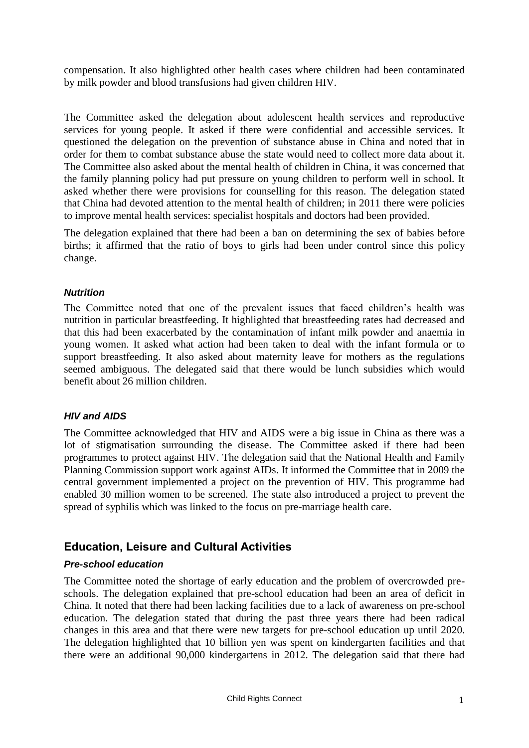compensation. It also highlighted other health cases where children had been contaminated by milk powder and blood transfusions had given children HIV.

The Committee asked the delegation about adolescent health services and reproductive services for young people. It asked if there were confidential and accessible services. It questioned the delegation on the prevention of substance abuse in China and noted that in order for them to combat substance abuse the state would need to collect more data about it. The Committee also asked about the mental health of children in China, it was concerned that the family planning policy had put pressure on young children to perform well in school. It asked whether there were provisions for counselling for this reason. The delegation stated that China had devoted attention to the mental health of children; in 2011 there were policies to improve mental health services: specialist hospitals and doctors had been provided.

The delegation explained that there had been a ban on determining the sex of babies before births; it affirmed that the ratio of boys to girls had been under control since this policy change.

#### *Nutrition*

The Committee noted that one of the prevalent issues that faced children's health was nutrition in particular breastfeeding. It highlighted that breastfeeding rates had decreased and that this had been exacerbated by the contamination of infant milk powder and anaemia in young women. It asked what action had been taken to deal with the infant formula or to support breastfeeding. It also asked about maternity leave for mothers as the regulations seemed ambiguous. The delegated said that there would be lunch subsidies which would benefit about 26 million children.

## *HIV and AIDS*

The Committee acknowledged that HIV and AIDS were a big issue in China as there was a lot of stigmatisation surrounding the disease. The Committee asked if there had been programmes to protect against HIV. The delegation said that the National Health and Family Planning Commission support work against AIDs. It informed the Committee that in 2009 the central government implemented a project on the prevention of HIV. This programme had enabled 30 million women to be screened. The state also introduced a project to prevent the spread of syphilis which was linked to the focus on pre-marriage health care.

## **Education, Leisure and Cultural Activities**

## *Pre-school education*

The Committee noted the shortage of early education and the problem of overcrowded preschools. The delegation explained that pre-school education had been an area of deficit in China. It noted that there had been lacking facilities due to a lack of awareness on pre-school education. The delegation stated that during the past three years there had been radical changes in this area and that there were new targets for pre-school education up until 2020. The delegation highlighted that 10 billion yen was spent on kindergarten facilities and that there were an additional 90,000 kindergartens in 2012. The delegation said that there had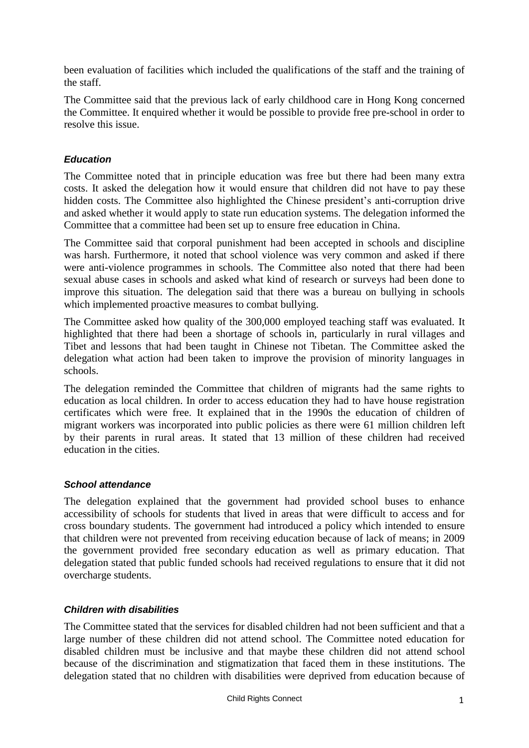been evaluation of facilities which included the qualifications of the staff and the training of the staff.

The Committee said that the previous lack of early childhood care in Hong Kong concerned the Committee. It enquired whether it would be possible to provide free pre-school in order to resolve this issue.

## *Education*

The Committee noted that in principle education was free but there had been many extra costs. It asked the delegation how it would ensure that children did not have to pay these hidden costs. The Committee also highlighted the Chinese president's anti-corruption drive and asked whether it would apply to state run education systems. The delegation informed the Committee that a committee had been set up to ensure free education in China.

The Committee said that corporal punishment had been accepted in schools and discipline was harsh. Furthermore, it noted that school violence was very common and asked if there were anti-violence programmes in schools. The Committee also noted that there had been sexual abuse cases in schools and asked what kind of research or surveys had been done to improve this situation. The delegation said that there was a bureau on bullying in schools which implemented proactive measures to combat bullying.

The Committee asked how quality of the 300,000 employed teaching staff was evaluated. It highlighted that there had been a shortage of schools in, particularly in rural villages and Tibet and lessons that had been taught in Chinese not Tibetan. The Committee asked the delegation what action had been taken to improve the provision of minority languages in schools.

The delegation reminded the Committee that children of migrants had the same rights to education as local children. In order to access education they had to have house registration certificates which were free. It explained that in the 1990s the education of children of migrant workers was incorporated into public policies as there were 61 million children left by their parents in rural areas. It stated that 13 million of these children had received education in the cities.

## *School attendance*

The delegation explained that the government had provided school buses to enhance accessibility of schools for students that lived in areas that were difficult to access and for cross boundary students. The government had introduced a policy which intended to ensure that children were not prevented from receiving education because of lack of means; in 2009 the government provided free secondary education as well as primary education. That delegation stated that public funded schools had received regulations to ensure that it did not overcharge students.

## *Children with disabilities*

The Committee stated that the services for disabled children had not been sufficient and that a large number of these children did not attend school. The Committee noted education for disabled children must be inclusive and that maybe these children did not attend school because of the discrimination and stigmatization that faced them in these institutions. The delegation stated that no children with disabilities were deprived from education because of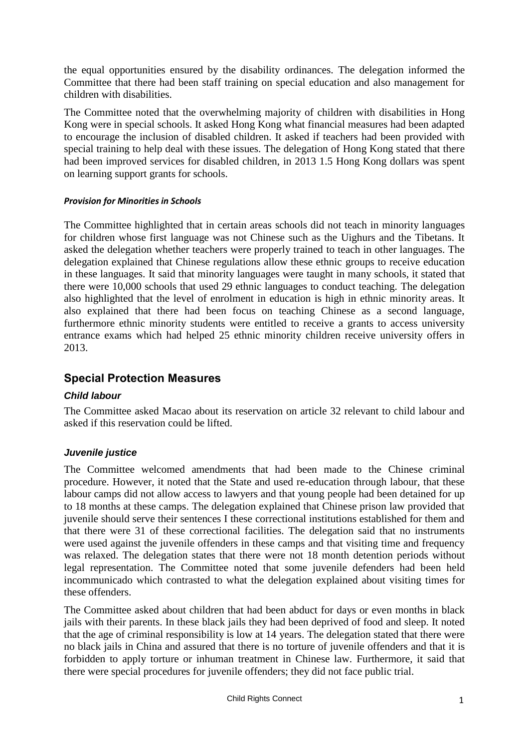the equal opportunities ensured by the disability ordinances. The delegation informed the Committee that there had been staff training on special education and also management for children with disabilities.

The Committee noted that the overwhelming majority of children with disabilities in Hong Kong were in special schools. It asked Hong Kong what financial measures had been adapted to encourage the inclusion of disabled children. It asked if teachers had been provided with special training to help deal with these issues. The delegation of Hong Kong stated that there had been improved services for disabled children, in 2013 1.5 Hong Kong dollars was spent on learning support grants for schools.

#### *Provision for Minorities in Schools*

The Committee highlighted that in certain areas schools did not teach in minority languages for children whose first language was not Chinese such as the Uighurs and the Tibetans. It asked the delegation whether teachers were properly trained to teach in other languages. The delegation explained that Chinese regulations allow these ethnic groups to receive education in these languages. It said that minority languages were taught in many schools, it stated that there were 10,000 schools that used 29 ethnic languages to conduct teaching. The delegation also highlighted that the level of enrolment in education is high in ethnic minority areas. It also explained that there had been focus on teaching Chinese as a second language, furthermore ethnic minority students were entitled to receive a grants to access university entrance exams which had helped 25 ethnic minority children receive university offers in 2013.

## **Special Protection Measures**

## *Child labour*

The Committee asked Macao about its reservation on article 32 relevant to child labour and asked if this reservation could be lifted.

## *Juvenile justice*

The Committee welcomed amendments that had been made to the Chinese criminal procedure. However, it noted that the State and used re-education through labour, that these labour camps did not allow access to lawyers and that young people had been detained for up to 18 months at these camps. The delegation explained that Chinese prison law provided that juvenile should serve their sentences I these correctional institutions established for them and that there were 31 of these correctional facilities. The delegation said that no instruments were used against the juvenile offenders in these camps and that visiting time and frequency was relaxed. The delegation states that there were not 18 month detention periods without legal representation. The Committee noted that some juvenile defenders had been held incommunicado which contrasted to what the delegation explained about visiting times for these offenders.

The Committee asked about children that had been abduct for days or even months in black jails with their parents. In these black jails they had been deprived of food and sleep. It noted that the age of criminal responsibility is low at 14 years. The delegation stated that there were no black jails in China and assured that there is no torture of juvenile offenders and that it is forbidden to apply torture or inhuman treatment in Chinese law. Furthermore, it said that there were special procedures for juvenile offenders; they did not face public trial.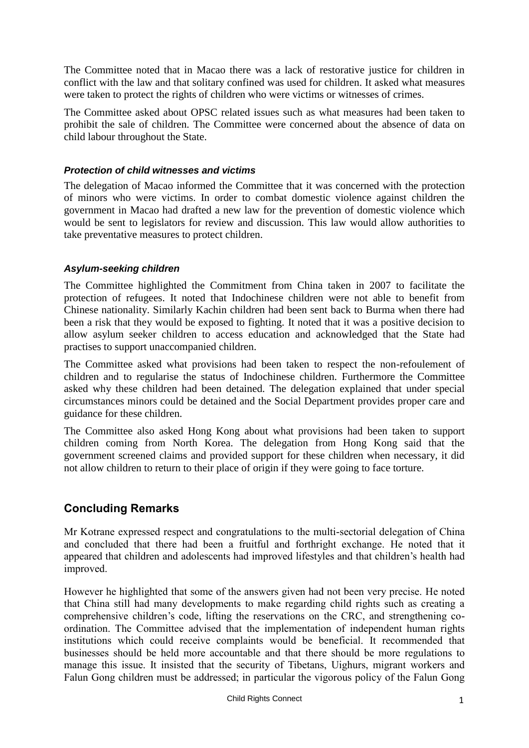The Committee noted that in Macao there was a lack of restorative justice for children in conflict with the law and that solitary confined was used for children. It asked what measures were taken to protect the rights of children who were victims or witnesses of crimes.

The Committee asked about OPSC related issues such as what measures had been taken to prohibit the sale of children. The Committee were concerned about the absence of data on child labour throughout the State.

#### *Protection of child witnesses and victims*

The delegation of Macao informed the Committee that it was concerned with the protection of minors who were victims. In order to combat domestic violence against children the government in Macao had drafted a new law for the prevention of domestic violence which would be sent to legislators for review and discussion. This law would allow authorities to take preventative measures to protect children.

#### *Asylum-seeking children*

The Committee highlighted the Commitment from China taken in 2007 to facilitate the protection of refugees. It noted that Indochinese children were not able to benefit from Chinese nationality. Similarly Kachin children had been sent back to Burma when there had been a risk that they would be exposed to fighting. It noted that it was a positive decision to allow asylum seeker children to access education and acknowledged that the State had practises to support unaccompanied children.

The Committee asked what provisions had been taken to respect the non-refoulement of children and to regularise the status of Indochinese children. Furthermore the Committee asked why these children had been detained. The delegation explained that under special circumstances minors could be detained and the Social Department provides proper care and guidance for these children.

The Committee also asked Hong Kong about what provisions had been taken to support children coming from North Korea. The delegation from Hong Kong said that the government screened claims and provided support for these children when necessary, it did not allow children to return to their place of origin if they were going to face torture.

## **Concluding Remarks**

Mr Kotrane expressed respect and congratulations to the multi-sectorial delegation of China and concluded that there had been a fruitful and forthright exchange. He noted that it appeared that children and adolescents had improved lifestyles and that children's health had improved.

However he highlighted that some of the answers given had not been very precise. He noted that China still had many developments to make regarding child rights such as creating a comprehensive children's code, lifting the reservations on the CRC, and strengthening coordination. The Committee advised that the implementation of independent human rights institutions which could receive complaints would be beneficial. It recommended that businesses should be held more accountable and that there should be more regulations to manage this issue. It insisted that the security of Tibetans, Uighurs, migrant workers and Falun Gong children must be addressed; in particular the vigorous policy of the Falun Gong